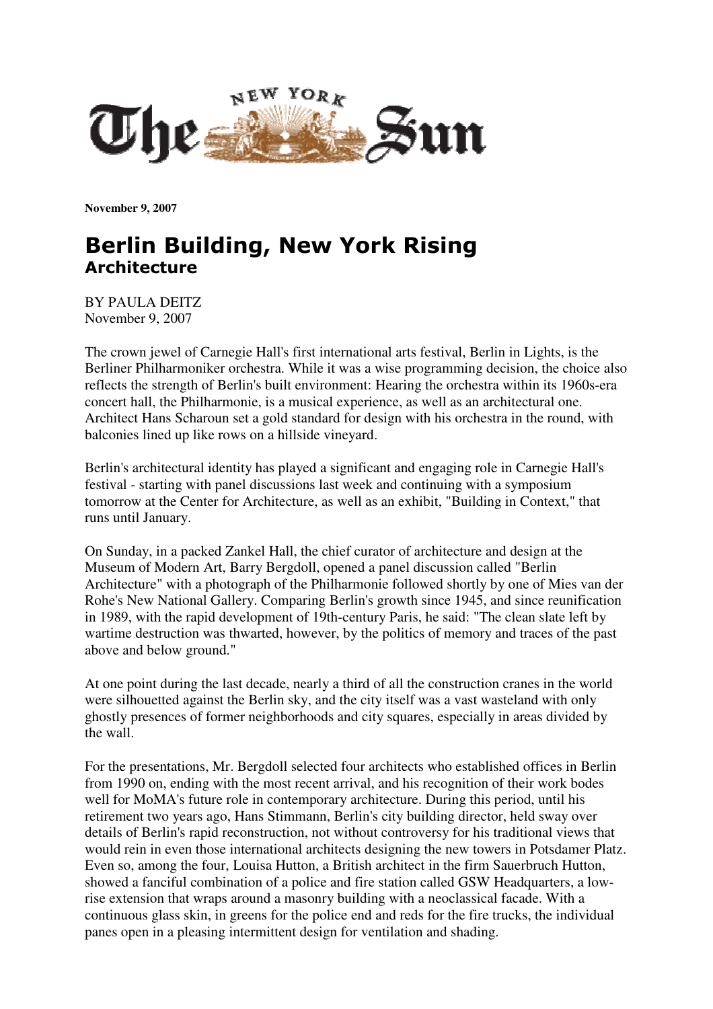

**November 9, 2007**

## Berlin Building, New York Rising Architecture

BY PAULA DEITZ November 9, 2007

The crown jewel of Carnegie Hall's first international arts festival, Berlin in Lights, is the Berliner Philharmoniker orchestra. While it was a wise programming decision, the choice also reflects the strength of Berlin's built environment: Hearing the orchestra within its 1960s-era concert hall, the Philharmonie, is a musical experience, as well as an architectural one. Architect Hans Scharoun set a gold standard for design with his orchestra in the round, with balconies lined up like rows on a hillside vineyard.

Berlin's architectural identity has played a significant and engaging role in Carnegie Hall's festival - starting with panel discussions last week and continuing with a symposium tomorrow at the Center for Architecture, as well as an exhibit, "Building in Context," that runs until January.

On Sunday, in a packed Zankel Hall, the chief curator of architecture and design at the Museum of Modern Art, Barry Bergdoll, opened a panel discussion called "Berlin Architecture" with a photograph of the Philharmonie followed shortly by one of Mies van der Rohe's New National Gallery. Comparing Berlin's growth since 1945, and since reunification in 1989, with the rapid development of 19th-century Paris, he said: "The clean slate left by wartime destruction was thwarted, however, by the politics of memory and traces of the past above and below ground."

At one point during the last decade, nearly a third of all the construction cranes in the world were silhouetted against the Berlin sky, and the city itself was a vast wasteland with only ghostly presences of former neighborhoods and city squares, especially in areas divided by the wall.

For the presentations, Mr. Bergdoll selected four architects who established offices in Berlin from 1990 on, ending with the most recent arrival, and his recognition of their work bodes well for MoMA's future role in contemporary architecture. During this period, until his retirement two years ago, Hans Stimmann, Berlin's city building director, held sway over details of Berlin's rapid reconstruction, not without controversy for his traditional views that would rein in even those international architects designing the new towers in Potsdamer Platz. Even so, among the four, Louisa Hutton, a British architect in the firm Sauerbruch Hutton, showed a fanciful combination of a police and fire station called GSW Headquarters, a lowrise extension that wraps around a masonry building with a neoclassical facade. With a continuous glass skin, in greens for the police end and reds for the fire trucks, the individual panes open in a pleasing intermittent design for ventilation and shading.